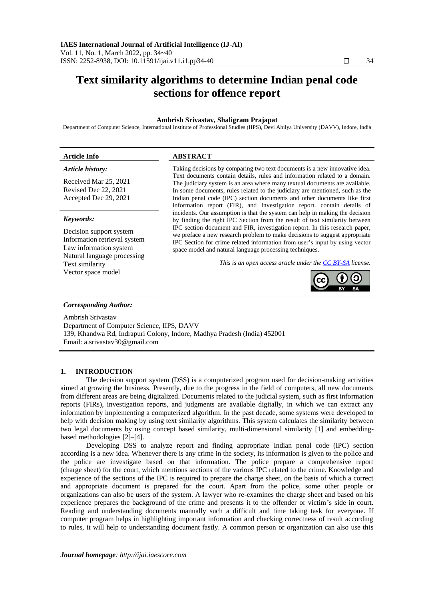# **Text similarity algorithms to determine Indian penal code sections for offence report**

# **Ambrish Srivastav, Shaligram Prajapat**

Department of Computer Science, International Institute of Professional Studies (IIPS), Devi Ahilya University (DAVV), Indore, India

| <b>Article Info</b>                                                               | <b>ABSTRACT</b>                                                                                                                                                                                                                                                                                                                                                                                 |
|-----------------------------------------------------------------------------------|-------------------------------------------------------------------------------------------------------------------------------------------------------------------------------------------------------------------------------------------------------------------------------------------------------------------------------------------------------------------------------------------------|
| Article history:                                                                  | Taking decisions by comparing two text documents is a new innovative idea.                                                                                                                                                                                                                                                                                                                      |
| Received Mar 25, 2021<br>Revised Dec 22, 2021<br>Accepted Dec 29, 2021            | Text documents contain details, rules and information related to a domain.<br>The judiciary system is an area where many textual documents are available.<br>In some documents, rules related to the judiciary are mentioned, such as the<br>Indian penal code (IPC) section documents and other documents like first<br>information report (FIR), and Investigation report. contain details of |
| Keywords:                                                                         | incidents. Our assumption is that the system can help in making the decision<br>by finding the right IPC Section from the result of text similarity between                                                                                                                                                                                                                                     |
| Decision support system<br>Information retrieval system<br>Law information system | IPC section document and FIR, investigation report. In this research paper,<br>we preface a new research problem to make decisions to suggest appropriate<br>IPC Section for crime related information from user's input by using vector<br>space model and natural language processing techniques.                                                                                             |

*This is an open access article under th[e CC BY-SA](https://creativecommons.org/licenses/by-sa/4.0/) license.*



# *Corresponding Author:*

Text similarity Vector space model

Natural language processing

Ambrish Srivastav Department of Computer Science, IIPS, DAVV 139, Khandwa Rd, Indrapuri Colony, Indore, Madhya Pradesh (India) 452001 Email: a.srivastav30@gmail.com

# **1. INTRODUCTION**

The decision support system (DSS) is a computerized program used for decision-making activities aimed at growing the business. Presently, due to the progress in the field of computers, all new documents from different areas are being digitalized. Documents related to the judicial system, such as first information reports (FIRs), investigation reports, and judgments are available digitally, in which we can extract any information by implementing a computerized algorithm. In the past decade, some systems were developed to help with decision making by using text similarity algorithms. This system calculates the similarity between two legal documents by using concept based similarity, multi-dimensional similarity [1] and embeddingbased methodologies [2]–[4].

Developing DSS to analyze report and finding appropriate Indian penal code (IPC) section according is a new idea. Whenever there is any crime in the society, its information is given to the police and the police are investigate based on that information. The police prepare a comprehensive report (charge sheet) for the court, which mentions sections of the various IPC related to the crime. Knowledge and experience of the sections of the IPC is required to prepare the charge sheet, on the basis of which a correct and appropriate document is prepared for the court. Apart from the police, some other people or organizations can also be users of the system. A lawyer who re-examines the charge sheet and based on his experience prepares the background of the crime and presents it to the offender or victim's side in court. Reading and understanding documents manually such a difficult and time taking task for everyone. If computer program helps in highlighting important information and checking correctness of result according to rules, it will help to understanding document fastly. A common person or organization can also use this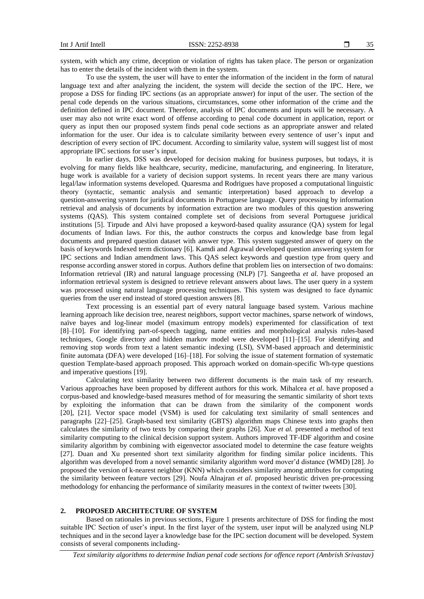system, with which any crime, deception or violation of rights has taken place. The person or organization has to enter the details of the incident with them in the system.

To use the system, the user will have to enter the information of the incident in the form of natural language text and after analyzing the incident, the system will decide the section of the IPC. Here, we propose a DSS for finding IPC sections (as an appropriate answer) for input of the user. The section of the penal code depends on the various situations, circumstances, some other information of the crime and the definition defined in IPC document. Therefore, analysis of IPC documents and inputs will be necessary. A user may also not write exact word of offense according to penal code document in application, report or query as input then our proposed system finds penal code sections as an appropriate answer and related information for the user. Our idea is to calculate similarity between every sentence of user's input and description of every section of IPC document. According to similarity value, system will suggest list of most appropriate IPC sections for user's input.

In earlier days, DSS was developed for decision making for business purposes, but todays, it is evolving for many fields like healthcare, security, medicine, manufacturing, and engineering. In literature, huge work is available for a variety of decision support systems. In recent years there are many various legal/law information systems developed. Quaresma and Rodrigues have proposed a computational linguistic theory (syntactic, semantic analysis and semantic interpretation) based approach to develop a question-answering system for juridical documents in Portuguese language. Query processing by information retrieval and analysis of documents by information extraction are two modules of this question answering systems (QAS). This system contained complete set of decisions from several Portuguese juridical institutions [5]. Tirpude and Alvi have proposed a keyword-based quality assurance (QA) system for legal documents of Indian laws. For this, the author constructs the corpus and knowledge base from legal documents and prepared question dataset with answer type. This system suggested answer of query on the basis of keywords Indexed term dictionary [6]. Kamdi and Agrawal developed question answering system for IPC sections and Indian amendment laws. This QAS select keywords and question type from query and response according answer stored in corpus. Authors define that problem lies on intersection of two domains: Information retrieval (IR) and natural language processing (NLP) [7]. Sangeetha *et al.* have proposed an information retrieval system is designed to retrieve relevant answers about laws. The user query in a system was processed using natural language processing techniques. This system was designed to face dynamic queries from the user end instead of stored question answers [8].

Text processing is an essential part of every natural language based system. Various machine learning approach like decision tree, nearest neighbors, support vector machines, sparse network of windows, naïve bayes and log-linear model (maximum entropy models) experimented for classification of text [8]–[10]. For identifying part-of-speech tagging, name entities and morphological analysis rules-based techniques, Google directory and hidden markov model were developed [11]–[15]. For identifying and removing stop words from text a latent semantic indexing (LSI), SVM-based approach and deterministic finite automata (DFA) were developed [16]–[18]. For solving the issue of statement formation of systematic question Template-based approach proposed. This approach worked on domain-specific Wh-type questions and imperative questions [19].

Calculating text similarity between two different documents is the main task of my research. Various approaches have been proposed by different authors for this work. Mihalcea *et al*. have proposed a corpus-based and knowledge-based measures method of for measuring the semantic similarity of short texts by exploiting the information that can be drawn from the similarity of the component words [20], [21]. Vector space model (VSM) is used for calculating text similarity of small sentences and paragraphs [22]–[25]. Graph-based text similarity (GBTS) algorithm maps Chinese texts into graphs then calculates the similarity of two texts by comparing their graphs [26]. Xue *et al.* presented a method of text similarity computing to the clinical decision support system. Authors improved TF-IDF algorithm and cosine similarity algorithm by combining with eigenvector associated model to determine the case feature weights [27]. Duan and Xu presented short text similarity algorithm for finding similar police incidents. This algorithm was developed from a novel semantic similarity algorithm word mover'd distance (WMD) [28]. Jo proposed the version of k-nearest neighbor (KNN) which considers similarity among attributes for computing the similarity between feature vectors [29]. Noufa Alnajran *et al*. proposed heuristic driven pre-processing methodology for enhancing the performance of similarity measures in the context of twitter tweets [30].

# **2. PROPOSED ARCHITECTURE OF SYSTEM**

Based on rationales in previous sections, Figure 1 presents architecture of DSS for finding the most suitable IPC Section of user's input. In the first layer of the system, user input will be analyzed using NLP techniques and in the second layer a knowledge base for the IPC section document will be developed. System consists of several components including-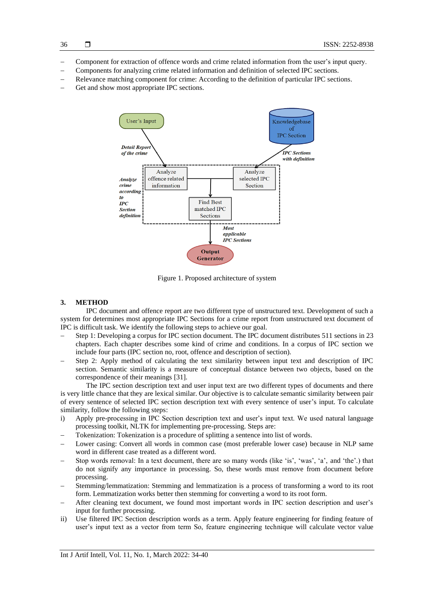- − Component for extraction of offence words and crime related information from the user's input query.
- − Components for analyzing crime related information and definition of selected IPC sections.
- Relevance matching component for crime: According to the definition of particular IPC sections.
- Get and show most appropriate IPC sections.



Figure 1. Proposed architecture of system

# **3. METHOD**

IPC document and offence report are two different type of unstructured text. Development of such a system for determines most appropriate IPC Sections for a crime report from unstructured text document of IPC is difficult task. We identify the following steps to achieve our goal.

- Step 1: Developing a corpus for IPC section document. The IPC document distributes 511 sections in 23 chapters. Each chapter describes some kind of crime and conditions. In a corpus of IPC section we include four parts (IPC section no, root, offence and description of section).
- Step 2: Apply method of calculating the text similarity between input text and description of IPC section. Semantic similarity is a measure of conceptual distance between two objects, based on the correspondence of their meanings [31].

The IPC section description text and user input text are two different types of documents and there is very little chance that they are lexical similar. Our objective is to calculate semantic similarity between pair of every sentence of selected IPC section description text with every sentence of user's input. To calculate similarity, follow the following steps:

- i) Apply pre-processing in IPC Section description text and user's input text. We used natural language processing toolkit, NLTK for implementing pre-processing. Steps are:
- Tokenization: Tokenization is a procedure of splitting a sentence into list of words.
- Lower casing: Convert all words in common case (most preferable lower case) because in NLP same word in different case treated as a different word.
- − Stop words removal: In a text document, there are so many words (like 'is', 'was', 'a', and 'the'.) that do not signify any importance in processing. So, these words must remove from document before processing.
- Stemming/lemmatization: Stemming and lemmatization is a process of transforming a word to its root form. Lemmatization works better then stemming for converting a word to its root form.
- After cleaning text document, we found most important words in IPC section description and user's input for further processing.
- ii) Use filtered IPC Section description words as a term. Apply feature engineering for finding feature of user's input text as a vector from term So, feature engineering technique will calculate vector value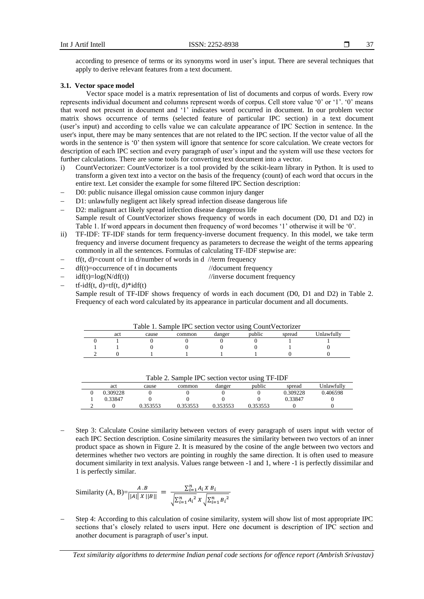$\Box$ 37

according to presence of terms or its synonyms word in user's input. There are several techniques that apply to derive relevant features from a text document.

### **3.1. Vector space model**

Vector space model is a matrix representation of list of documents and corpus of words. Every row represents individual document and columns represent words of corpus. Cell store value '0' or '1'. '0' means that word not present in document and '1' indicates word occurred in document. In our problem vector matrix shows occurrence of terms (selected feature of particular IPC section) in a text document (user's input) and according to cells value we can calculate appearance of IPC Section in sentence. In the user's input, there may be many sentences that are not related to the IPC section. If the vector value of all the words in the sentence is '0' then system will ignore that sentence for score calculation. We create vectors for description of each IPC section and every paragraph of user's input and the system will use these vectors for further calculations. There are some tools for converting text document into a vector.

- i) CountVectorizer: CountVectorizer is a tool provided by the scikit-learn library in Python. It is used to transform a given text into a vector on the basis of the frequency (count) of each word that occurs in the entire text. Let consider the example for some filtered IPC Section description:
- − D0: public nuisance illegal omission cause common injury danger
- D1: unlawfully negligent act likely spread infection disease dangerous life
- D2: malignant act likely spread infection disease dangerous life Sample result of CountVectorizer shows frequency of words in each document (D0, D1 and D2) in Table 1. If word appears in document then frequency of word becomes '1' otherwise it will be '0'.
- ii) TF-IDF: TF-IDF stands for term frequency-inverse document frequency. In this model, we take term frequency and inverse document frequency as parameters to decrease the weight of the terms appearing commonly in all the sentences. Formulas of calculating TF-IDF stepwise are:
- $tf(t, d) = count of t in d/number of words in d$ //term frequency
- $df(t) = \text{occurrence of } t \text{ in documents}$  //document frequency
- $i df(t)=log(N/df(t))$  //inverse document frequency
	- $tf-idf(t, d)=tf(t, d)*idf(t)$ Sample result of TF-IDF shows frequency of words in each document (D0, D1 and D2) in Table 2.

Frequency of each word calculated by its appearance in particular document and all documents.

| public<br>Hawfully!<br>spread<br>danger<br>act<br>common<br>cause | Table 1. Sample IPC section vector using CountVectorizer |  |  |  |  |  |  |  |
|-------------------------------------------------------------------|----------------------------------------------------------|--|--|--|--|--|--|--|
|                                                                   |                                                          |  |  |  |  |  |  |  |
|                                                                   |                                                          |  |  |  |  |  |  |  |
|                                                                   |                                                          |  |  |  |  |  |  |  |
|                                                                   |                                                          |  |  |  |  |  |  |  |

| Table 2. Sample IFC section vector using TF-IDF |          |          |          |          |          |           |
|-------------------------------------------------|----------|----------|----------|----------|----------|-----------|
| act                                             | cause    | common   | danger   | public   | spread   | Hawfully! |
| 0.309228                                        |          |          |          |          | 0.309228 | 0.406598  |
| 0.33847                                         |          |          |          |          | 0.33847  |           |
|                                                 | 0.353553 | 0.353553 | 0.353553 | 0 353553 |          |           |

Table 2. Sample IPC section vector using TF-IDF

Step 3: Calculate Cosine similarity between vectors of every paragraph of users input with vector of each IPC Section description. Cosine similarity measures the similarity between two vectors of an inner product space as shown in Figure 2. It is measured by the cosine of the angle between two vectors and determines whether two vectors are pointing in roughly the same direction. It is often used to measure document similarity in text analysis. Values range between -1 and 1, where -1 is perfectly dissimilar and 1 is perfectly similar.

Similarly (A, B)=
$$
\frac{A.B}{||A|| X ||B||} = \frac{\sum_{i=1}^{n} A_i X B_i}{\sqrt{\sum_{i=1}^{n} A_i^2} X \sqrt{\sum_{i=1}^{n} B_i^2}}
$$

Step 4: According to this calculation of cosine similarity, system will show list of most appropriate IPC sections that's closely related to users input. Here one document is description of IPC section and another document is paragraph of user's input.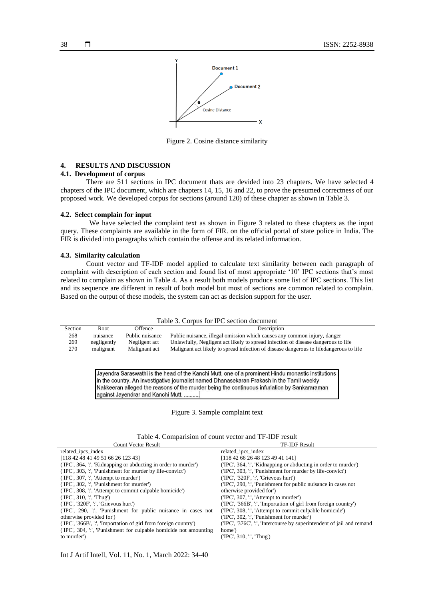

Figure 2. Cosine distance similarity

### **4. RESULTS AND DISCUSSION**

# **4.1. Development of corpus**

There are 511 sections in IPC document thats are devided into 23 chapters. We have selected 4 chapters of the IPC document, which are chapters 14, 15, 16 and 22, to prove the presumed correctness of our proposed work. We developed corpus for sections (around 120) of these chapter as shown in Table 3.

### **4.2. Select complain for input**

We have selected the complaint text as shown in Figure 3 related to these chapters as the input query. These complaints are available in the form of FIR. on the official portal of state police in India. The FIR is divided into paragraphs which contain the offense and its related information.

#### **4.3. Similarity calculation**

Count vector and TF-IDF model applied to calculate text similarity between each paragraph of complaint with description of each section and found list of most appropriate '10' IPC sections that's most related to complain as shown in Table 4. As a result both models produce some list of IPC sections. This list and its sequence are different in result of both model but most of sections are common related to complain. Based on the output of these models, the system can act as decision support for the user.

|  |  |  |  |  | Table 3. Corpus for IPC section document |
|--|--|--|--|--|------------------------------------------|
|--|--|--|--|--|------------------------------------------|

| Section | Root        | Offence         | Description                                                                            |
|---------|-------------|-----------------|----------------------------------------------------------------------------------------|
| 268     | nuisance    | Public nuisance | Public nuisance, illegal omission which causes any common injury, danger               |
| 269     | negligently | Negligent act   | Unlawfully, Negligent act likely to spread infection of disease dangerous to life      |
| 270     | malignant   | Malignant act   | Malignant act likely to spread infection of disease dangerous to lifedangerous to life |

Jayendra Saraswathi is the head of the Kanchi Mutt, one of a prominent Hindu monastic institutions in the country. An investigative journalist named Dhanasekaran Prakash in the Tamil weekly Nakkeeran alleged the reasons of the murder being the continuous infuriation by Sankararaman against Jayendrar and Kanchi Mutt. ..........

#### Figure 3. Sample complaint text

|  |  |  |  |  | Table 4. Comparision of count vector and TF-IDF result |
|--|--|--|--|--|--------------------------------------------------------|
|--|--|--|--|--|--------------------------------------------------------|

| <b>Count Vector Result</b>                                       | <b>TF-IDF Result</b>                                                  |
|------------------------------------------------------------------|-----------------------------------------------------------------------|
| related ipcs index                                               | related ipcs index                                                    |
| [118 42 48 41 49 51 66 26 123 43]                                | [118 42 66 26 48 123 49 41 141]                                       |
| (TPC', 364, ':', 'Kidnapping or abducting in order to murder')   | (TPC', 364, '.', 'Kidnapping or abducting in order to murder')        |
| ('IPC', 303, ':', 'Punishment for murder by life-convict')       | ('IPC', 303, ':', 'Punishment for murder by life-convict')            |
| $(TPC', 307, \dots,$ Attempt to murder')                         | (TPC'. '320F'. ''. 'Grievous hurt')                                   |
| ('IPC', 302, ':', 'Punishment for murder')                       | (TPC', 290, '.', 'Punishment for public nuisance in cases not         |
| ('IPC', 308, ':', 'Attempt to commit culpable homicide')         | otherwise provided for')                                              |
| $(TPC', 310,$ $\cdot$ , Thug')                                   | ('IPC', 307, ':', 'Attempt to murder')                                |
| (TPC', '320F', '. 'Grievous hurt')                               | (TPC', '366B', ':', 'Importation of girl from foreign country')       |
| (TPC', 290, ':', 'Punishment for public nuisance in cases not    | (TPC', 308, ':', 'Attempt to commit culpable homicide')               |
| otherwise provided for')                                         | (TPC', 302, ':', 'Punishment for murder')                             |
| ('IPC', '366B', ':', 'Importation of girl from foreign country') | (TPC', '376C', ':', 'Intercourse by superintendent of jail and remand |
| (TPC', 304, ':', 'Punishment for culpable homicide not amounting | home')                                                                |
| to murder')                                                      | ('IPC', 310, ':', 'Thug')                                             |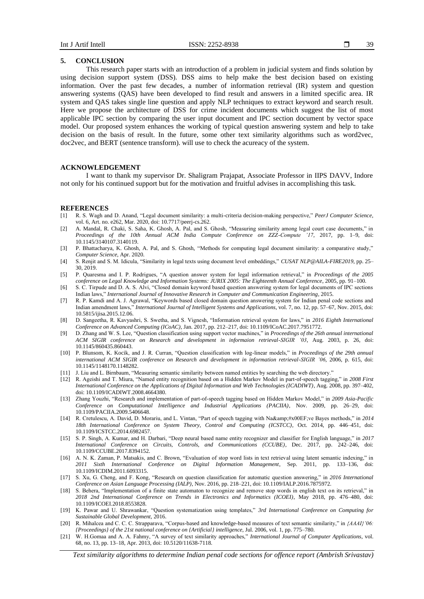# **5. CONCLUSION**

This research paper starts with an introduction of a problem in judicial system and finds solution by using decision support system (DSS). DSS aims to help make the best decision based on existing information. Over the past few decades, a number of information retrieval (IR) system and question answering systems (QAS) have been developed to find result and answers in a limited specific area. IR system and QAS takes single line question and apply NLP techniques to extract keyword and search result. Here we propose the architecture of DSS for crime incident documents which suggest the list of most applicable IPC section by comparing the user input document and IPC section document by vector space model. Our proposed system enhances the working of typical question answering system and help to take decision on the basis of result. In the future, some other text similarity algorithms such as word2vec, doc2vec, and BERT (sentence transform). will use to check the acureacy of the system.

#### **ACKNOWLEDGEMENT**

I want to thank my supervisor Dr. Shaligram Prajapat, Associate Professor in IIPS DAVV, Indore not only for his continued support but for the motivation and fruitful advises in accomplishing this task.

#### **REFERENCES**

- [1] R. S. Wagh and D. Anand, "Legal document similarity: a multi-criteria decision-making perspective," *PeerJ Computer Science*, vol. 6, Art. no. e262, Mar. 2020, doi: 10.7717/peerj-cs.262.
- [2] A. Mandal, R. Chaki, S. Saha, K. Ghosh, A. Pal, and S. Ghosh, "Measuring similarity among legal court case documents," in *Proceedings of the 10th Annual ACM India Compute Conference on ZZZ-Compute '17*, 2017, pp. 1–9, doi: 10.1145/3140107.3140119.
- [3] P. Bhattacharya, K. Ghosh, A. Pal, and S. Ghosh, "Methods for computing legal document similarity: a comparative study," *Computer Science*, Apr. 2020.
- [4] S. Renjit and S. M. Idicula, "Similarity in legal texts using document level embeddings," *CUSAT NLP@AILA-FIRE2019*, pp. 25– 30, 2019.
- [5] P. Quaresma and I. P. Rodrigues, "A question answer system for legal information retrieval," in *Proceedings of the 2005 conference on Legal Knowledge and Information Systems: JURIX 2005: The Eighteenth Annual Conference*, 2005, pp. 91–100.
- [6] S. C. Tirpude and D. A. S. Alvi, "Closed domain keyword based question answering system for legal documents of IPC sections Indian laws," *International Journal of Innovative Research in Computer and Communication Engineering*, 2015.
- [7] R. P. Kamdi and A. J. Agrawal, "Keywords based closed domain question answering system for Indian penal code sections and Indian amendment laws," *International Journal of Intelligent Systems and Applications*, vol. 7, no. 12, pp. 57–67, Nov. 2015, doi: 10.5815/ijisa.2015.12.06.
- [8] D. Sangeetha, R. Kavyashri, S. Swetha, and S. Vignesh, "Information retrieval system for laws," in *2016 Eighth International Conference on Advanced Computing (ICoAC)*, Jan. 2017, pp. 212–217, doi: 10.1109/ICoAC.2017.7951772.
- [9] D. Zhang and W. S. Lee, "Question classification using support vector machines," in *Proceedings of the 26th annual international ACM SIGIR conference on Research and development in informaion retrieval-SIGIR '03*, Aug. 2003, p. 26, doi: 10.1145/860435.860443.
- [10] P. Blunsom, K. Kocik, and J. R. Curran, "Question classification with log-linear models," in *Proceedings of the 29th annual international ACM SIGIR conference on Research and development in information retrieval-SIGIR '06*, 2006, p. 615, doi: 10.1145/1148170.1148282.
- [11] J. Liu and L. Birnbaum, "Measuring semantic similarity between named entities by searching the web directory."
- [12] R. Ageishi and T. Miura, "Named entity recognition based on a Hidden Markov Model in part-of-speech tagging," in *2008 First International Conference on the Applications of Digital Information and Web Technologies (ICADIWT)*, Aug. 2008, pp. 397–402, doi: 10.1109/ICADIWT.2008.4664380.
- [13] Zhang Youzhi, "Research and implementation of part-of-speech tagging based on Hidden Markov Model," in *2009 Asia-Pacific Conference on Computational Intelligence and Industrial Applications (PACIIA)*, Nov. 2009, pp. 26–29, doi: 10.1109/PACIIA.2009.5406648.
- [14] R. Cretulescu, A. David, D. Morariu, and L. Vintan, "Part of speech tagging with Naïve Bayes methods," in 2014 *18th International Conference on System Theory, Control and Computing (ICSTCC)*, Oct. 2014, pp. 446–451, doi: 10.1109/ICSTCC.2014.6982457.
- [15] S. P. Singh, A. Kumar, and H. Darbari, "Deep neural based name entity recognizer and classifier for English language," in *2017 International Conference on Circuits, Controls, and Communications (CCUBE)*, Dec. 2017, pp. 242–246, doi: 10.1109/CCUBE.2017.8394152.
- [16] A. N. K. Zaman, P. Matsakis, and C. Brown, "Evaluation of stop word lists in text retrieval using latent semantic indexing," in *2011 Sixth International Conference on Digital Information Management*, Sep. 2011, pp. 133–136, doi: 10.1109/ICDIM.2011.6093315.
- [17] S. Xu, G. Cheng, and F. Kong, "Research on question classification for automatic question answering," in *2016 International Conference on Asian Language Processing (IALP)*, Nov. 2016, pp. 218–221, doi: 10.1109/IALP.2016.7875972.
- [18] S. Behera, "Implementation of a finite state automaton to recognize and remove stop words in english text on its retrieval," in *2018 2nd International Conference on Trends in Electronics and Informatics (ICOEI)*, May 2018, pp. 476–480, doi: 10.1109/ICOEI.2018.8553828.
- [19] K. Pawar and U. Shrawankar, "Question systematization using templates," *3rd International Conference on Computing for Sustainable Global Development,* 2016.
- [20] R. Mihalcea and C. C. C. Strapparava, "Corpus-based and knowledge-based measures of text semantic similarity," in *{AAAI}'06: {Proceedings} of the 21st national conference on {Artificial} intelligence*, Jul. 2006, vol. 1, pp. 775–780.
- [21] W. H.Gomaa and A. A. Fahmy, "A survey of text similarity approaches," *International Journal of Computer Applications*, vol. 68, no. 13, pp. 13–18, Apr. 2013, doi: 10.5120/11638-7118.

*Text similarity algorithms to determine Indian penal code sections for offence report (Ambrish Srivastav)*